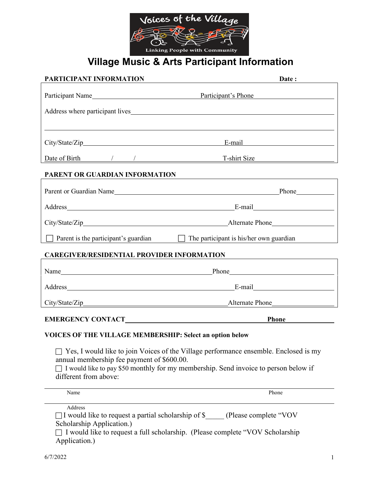

## **Village Music & Arts Participant Information**

| PARTICIPANT INFORMATION                                                                                                                                                                                                                                   | Date:                                                                                                                                                                                                                          |  |  |  |
|-----------------------------------------------------------------------------------------------------------------------------------------------------------------------------------------------------------------------------------------------------------|--------------------------------------------------------------------------------------------------------------------------------------------------------------------------------------------------------------------------------|--|--|--|
| Participant Name                                                                                                                                                                                                                                          | Participant's Phone                                                                                                                                                                                                            |  |  |  |
|                                                                                                                                                                                                                                                           |                                                                                                                                                                                                                                |  |  |  |
|                                                                                                                                                                                                                                                           | ,我们也不会有什么。""我们的人,我们也不会有什么?""我们的人,我们也不会有什么?""我们的人,我们也不会有什么?""我们的人,我们也不会有什么?""我们的人                                                                                                                                               |  |  |  |
|                                                                                                                                                                                                                                                           | E-mail expression of the state of the state of the state of the state of the state of the state of the state of the state of the state of the state of the state of the state of the state of the state of the state of the st |  |  |  |
|                                                                                                                                                                                                                                                           | Date of Birth / / / T-shirt Size                                                                                                                                                                                               |  |  |  |
| PARENT OR GUARDIAN INFORMATION                                                                                                                                                                                                                            | <u>a sa barang sa mga barang sa mga barang sa mga barang sa mga barang sa mga barang sa mga barang sa mga barang</u>                                                                                                           |  |  |  |
|                                                                                                                                                                                                                                                           |                                                                                                                                                                                                                                |  |  |  |
|                                                                                                                                                                                                                                                           |                                                                                                                                                                                                                                |  |  |  |
|                                                                                                                                                                                                                                                           |                                                                                                                                                                                                                                |  |  |  |
|                                                                                                                                                                                                                                                           | Parent is the participant's guardian $\Box$ The participant is his/her own guardian                                                                                                                                            |  |  |  |
| CAREGIVER/RESIDENTIAL PROVIDER INFORMATION                                                                                                                                                                                                                |                                                                                                                                                                                                                                |  |  |  |
|                                                                                                                                                                                                                                                           |                                                                                                                                                                                                                                |  |  |  |
|                                                                                                                                                                                                                                                           |                                                                                                                                                                                                                                |  |  |  |
|                                                                                                                                                                                                                                                           |                                                                                                                                                                                                                                |  |  |  |
|                                                                                                                                                                                                                                                           | Phone have a series of the series of the series of the series of the series of the series of the series of the series of the series of the series of the series of the series of the series of the series of the series of the |  |  |  |
| VOICES OF THE VILLAGE MEMBERSHIP: Select an option below                                                                                                                                                                                                  |                                                                                                                                                                                                                                |  |  |  |
| $\Box$ Yes, I would like to join Voices of the Village performance ensemble. Enclosed is my<br>annual membership fee payment of \$600.00.<br>I would like to pay \$50 monthly for my membership. Send invoice to person below if<br>different from above: |                                                                                                                                                                                                                                |  |  |  |
| Name                                                                                                                                                                                                                                                      | Phone                                                                                                                                                                                                                          |  |  |  |
| Address                                                                                                                                                                                                                                                   |                                                                                                                                                                                                                                |  |  |  |

□I would like to request a partial scholarship of \$ (Please complete "VOV Scholarship Application.)

 I would like to request a full scholarship. (Please complete "VOV Scholarship Application.)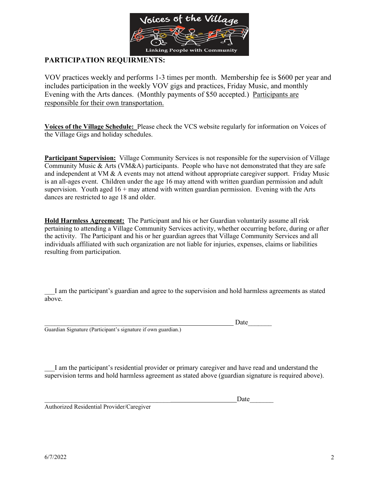

### **PARTICIPATION REQUIRMENTS:**

VOV practices weekly and performs 1-3 times per month. Membership fee is \$600 per year and includes participation in the weekly VOV gigs and practices, Friday Music, and monthly Evening with the Arts dances. (Monthly payments of \$50 accepted.) Participants are responsible for their own transportation.

**Voices of the Village Schedule:** Please check the VCS website regularly for information on Voices of the Village Gigs and holiday schedules.

**Participant Supervision:** Village Community Services is not responsible for the supervision of Village Community Music & Arts (VM&A) participants. People who have not demonstrated that they are safe and independent at VM & A events may not attend without appropriate caregiver support. Friday Music is an all-ages event. Children under the age 16 may attend with written guardian permission and adult supervision. Youth aged  $16 +$  may attend with written guardian permission. Evening with the Arts dances are restricted to age 18 and older.

**Hold Harmless Agreement:** The Participant and his or her Guardian voluntarily assume all risk pertaining to attending a Village Community Services activity, whether occurring before, during or after the activity. The Participant and his or her guardian agrees that Village Community Services and all individuals affiliated with such organization are not liable for injuries, expenses, claims or liabilities resulting from participation.

I am the participant's guardian and agree to the supervision and hold harmless agreements as stated above.

Guardian Signature (Participant's signature if own guardian.)

\_\_\_\_\_\_\_\_\_\_\_\_\_\_\_\_\_\_\_\_\_\_\_\_\_\_\_\_\_\_\_\_\_\_\_\_\_ Date\_\_\_\_\_\_\_

\_\_\_I am the participant's residential provider or primary caregiver and have read and understand the supervision terms and hold harmless agreement as stated above (guardian signature is required above).

\_\_\_\_\_\_\_\_\_\_\_\_\_\_\_\_\_\_\_\_\_\_\_\_\_\_\_\_\_\_\_\_\_\_\_\_\_ Date\_\_\_\_\_\_\_ Authorized Residential Provider/Caregiver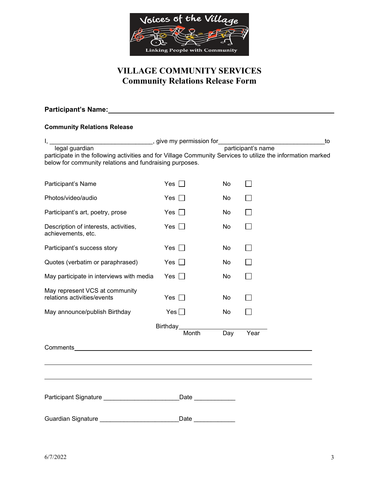

### **VILLAGE COMMUNITY SERVICES Community Relations Release Form**

#### **Participant's Name:**

#### **Community Relations Release**

| legal guardian<br>participate in the following activities and for Village Community Services to utilize the information marked<br>below for community relations and fundraising purposes. |                               |     | participant's name | to |  |
|-------------------------------------------------------------------------------------------------------------------------------------------------------------------------------------------|-------------------------------|-----|--------------------|----|--|
|                                                                                                                                                                                           |                               |     |                    |    |  |
| Participant's Name                                                                                                                                                                        | Yes $\square$                 | No  |                    |    |  |
| Photos/video/audio                                                                                                                                                                        | Yes $\Box$                    | No  | $\mathsf{L}$       |    |  |
| Participant's art, poetry, prose                                                                                                                                                          | Yes $\Box$                    | No  |                    |    |  |
| Description of interests, activities,<br>achievements, etc.                                                                                                                               | Yes $\Box$                    | No  |                    |    |  |
| Participant's success story                                                                                                                                                               | Yes $\square$                 | No  | $\Box$             |    |  |
| Quotes (verbatim or paraphrased)                                                                                                                                                          | Yes $\Box$                    | No  | $\mathsf{L}$       |    |  |
| May participate in interviews with media                                                                                                                                                  | Yes $\Box$                    | No  |                    |    |  |
| May represent VCS at community<br>relations activities/events                                                                                                                             | Yes $\Box$                    | No  |                    |    |  |
| May announce/publish Birthday                                                                                                                                                             | Yes $\Box$                    | No  |                    |    |  |
| Birthday_________                                                                                                                                                                         |                               |     |                    |    |  |
|                                                                                                                                                                                           | Month                         | Day | Year               |    |  |
| <b>Comments Comments</b>                                                                                                                                                                  |                               |     |                    |    |  |
|                                                                                                                                                                                           |                               |     |                    |    |  |
|                                                                                                                                                                                           |                               |     |                    |    |  |
|                                                                                                                                                                                           | Date                          |     |                    |    |  |
| Guardian Signature _____________________                                                                                                                                                  | Date $\overline{\phantom{a}}$ |     |                    |    |  |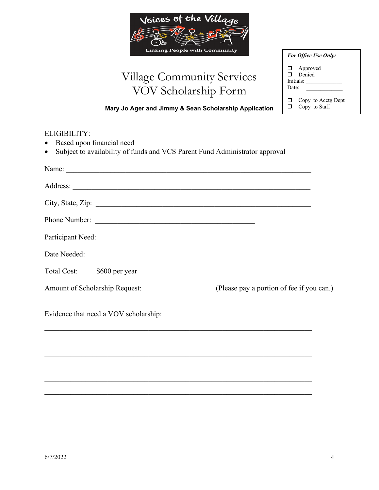

# Village Community Services VOV Scholarship Form

| <b>For Office Use Only:</b> |                                        |  |  |
|-----------------------------|----------------------------------------|--|--|
| Π.<br>Date:                 | $\Box$ Approved<br>Denied<br>Initials: |  |  |
|                             | Copy to Acctg Dept<br>Copy to Staff    |  |  |

**Mary Jo Ager and Jimmy & Sean Scholarship Application**

# ELIGIBILITY: • Based upon financial need • Subject to availability of funds and VCS Parent Fund Administrator approval Name: \_\_\_\_\_\_\_\_\_\_\_\_\_\_\_\_\_\_\_\_\_\_\_\_\_\_\_\_\_\_\_\_\_\_\_\_\_\_\_\_\_\_\_\_\_\_\_\_\_\_\_\_\_\_\_\_\_\_\_\_\_\_\_\_\_\_ Address: City, State, Zip: \_\_\_\_\_\_\_\_\_\_\_\_\_\_\_\_\_\_\_\_\_\_\_\_\_\_\_\_\_\_\_\_\_\_\_\_\_\_\_\_\_\_\_\_\_\_\_\_\_\_\_\_\_\_\_\_\_\_ Phone Number: \_\_\_\_\_\_\_\_\_\_\_\_\_\_\_\_\_\_\_\_\_\_\_\_\_\_\_\_\_\_\_\_\_\_\_\_\_\_\_\_\_\_\_ Participant Need: \_\_\_\_\_\_\_\_\_\_\_\_\_\_\_\_\_\_\_\_\_\_\_\_\_\_\_\_\_\_\_\_\_\_\_\_\_\_\_ Date Needed: \_\_\_\_\_\_\_\_\_\_\_\_\_\_\_\_\_\_\_\_\_\_\_\_\_\_\_\_\_\_\_\_\_\_\_\_\_\_\_\_\_ Total Cost:  $$600$  per year Amount of Scholarship Request: \_\_\_\_\_\_\_\_\_\_\_\_\_\_\_\_\_\_\_\_\_\_\_ (Please pay a portion of fee if you can.) Evidence that need a VOV scholarship:  $\mathcal{L}_\text{G}$  , and the contribution of the contribution of the contribution of the contribution of the contribution of the contribution of the contribution of the contribution of the contribution of the contribution of t  $\mathcal{L}_\text{G}$  , and the contribution of the contribution of the contribution of the contribution of the contribution of the contribution of the contribution of the contribution of the contribution of the contribution of t  $\mathcal{L}_\text{G}$  , and the contribution of the contribution of the contribution of the contribution of the contribution of the contribution of the contribution of the contribution of the contribution of the contribution of t

 $\mathcal{L}_\text{G}$  , and the contribution of the contribution of the contribution of the contribution of the contribution of the contribution of the contribution of the contribution of the contribution of the contribution of t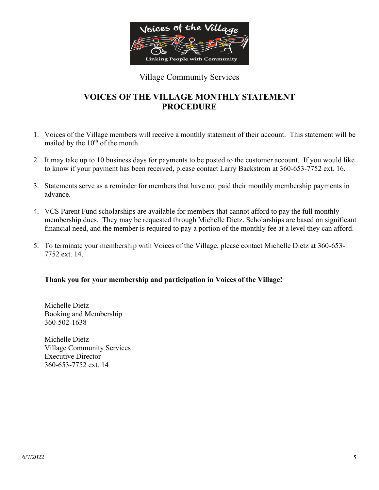

### Village Community Services

### **VOICES OF THE VILLAGE MONTHLY STATEMENT PROCEDURE**

- 1. Voices of the Village members will receive a monthly statement of their account. This statement will be mailed by the  $10<sup>th</sup>$  of the month.
- 2. It may take up to 10 business days for payments to be posted to the customer account. If you would like to know if your payment has been received, please contact Larry Backstrom at 360-653-7752 ext. 16.
- 3. Statements serve as a reminder for members that have not paid their monthly membership payments in advance.
- 4. VCS Parent Fund scholarships are available for members that cannot afford to pay the full monthly membership dues. They may be requested through Michelle Dietz. Scholarships are based on significant financial need, and the member is required to pay a portion of the monthly fee at a level they can afford.
- 5. To terminate your membership with Voices of the Village, please contact Michelle Dietz at 360-653- 7752 ext. 14.

### **Thank you for your membership and participation in Voices of the Village!**

Michelle Dietz Booking and Membership 360-502-1638

Michelle Dietz Village Community Services Executive Director 360-653-7752 ext. 14